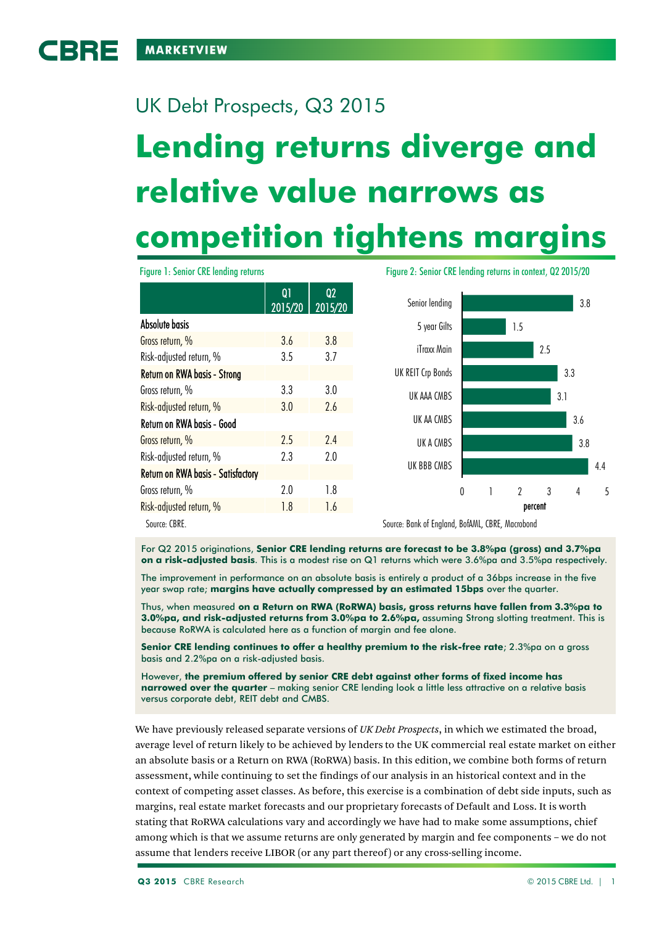BBE

# **Lending returns diverge and**  UK Debt Prospects, Q3 2015

# **relative value narrows as competition tightens margins**

Source: CBRE. Source: Bank of England, BofAML, CBRE, Macrobond 4.4 3.8 3.6 3.1 3.3 2.5 1.5 3.8 0 1 2 3 4 5 UK BBB CMBS UK A CMBS UK AA CMBS UK AAA CMBS UK REIT Crp Bonds iTraxx Main 5 year Gilts Senior lending percent Figure 1: Senior CRE lending returns Figure 2: Senior CRE lending returns in context, Q2 2015/20 Q1 2015/20 Q2 2015/20 Absolute basis Gross return, % 3.6 3.8 Risk-adjusted return, % 3.5 3.7 Return on RWA basis - Strong Gross return, % 3.3 3.0 Risk-adjusted return, % 3.0 3.0 2.6 Return on RWA basis - Good Gross return, % 2.5 2.4 Risk-adjusted return, % 2.3 2.0 Return on RWA basis - Satisfactory Gross return, % 2.0 1.8 Risk-adjusted return, % 1.8 1.6

For Q2 2015 originations, **Senior CRE lending returns are forecast to be 3.8%pa (gross) and 3.7%pa on a risk-adjusted basis**. This is a modest rise on Q1 returns which were 3.6%pa and 3.5%pa respectively.

The improvement in performance on an absolute basis is entirely a product of a 36bps increase in the five year swap rate; **margins have actually compressed by an estimated 15bps** over the quarter.

Thus, when measured **on a Return on RWA (RoRWA) basis, gross returns have fallen from 3.3%pa to 3.0%pa, and risk-adjusted returns from 3.0%pa to 2.6%pa,** assuming Strong slotting treatment. This is because RoRWA is calculated here as a function of margin and fee alone.

**Senior CRE lending continues to offer a healthy premium to the risk-free rate**; 2.3%pa on a gross basis and 2.2%pa on a risk-adjusted basis.

However, **the premium offered by senior CRE debt against other forms of fixed income has narrowed over the quarter** – making senior CRE lending look a little less attractive on a relative basis versus corporate debt, REIT debt and CMBS.

We have previously released separate versions of *UK Debt Prospects*, in which we estimated the broad, average level of return likely to be achieved by lenders to the UK commercial real estate market on either an absolute basis or a Return on RWA (RoRWA) basis. In this edition, we combine both forms of return assessment, while continuing to set the findings of our analysis in an historical context and in the context of competing asset classes. As before, this exercise is a combination of debt side inputs, such as margins, real estate market forecasts and our proprietary forecasts of Default and Loss. It is worth stating that RoRWA calculations vary and accordingly we have had to make some assumptions, chief among which is that we assume returns are only generated by margin and fee components – we do not assume that lenders receive LIBOR (or any part thereof) or any cross-selling income.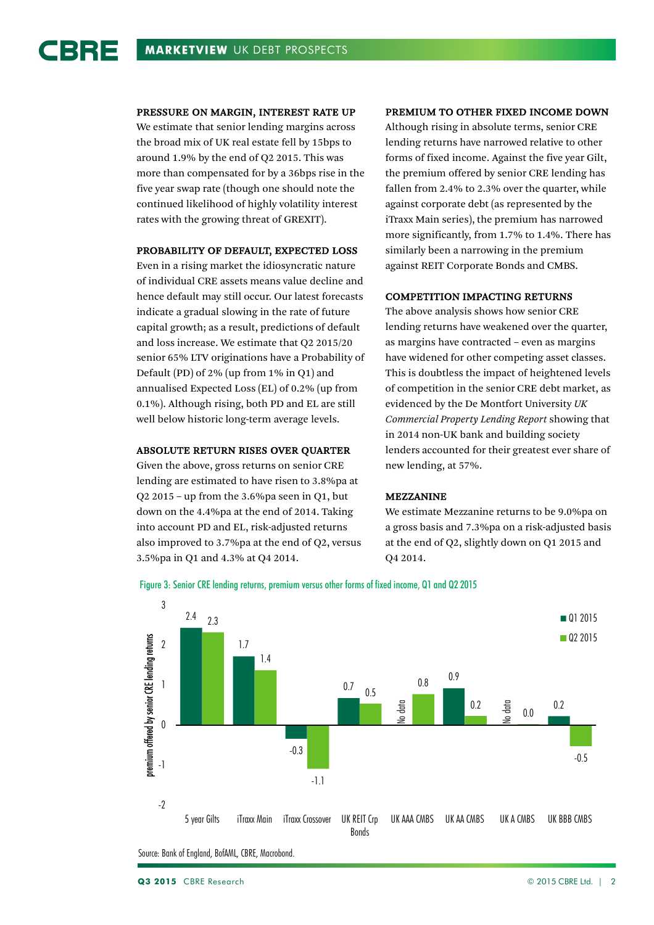#### PRESSURE ON MARGIN, INTEREST RATE UP

We estimate that senior lending margins across the broad mix of UK real estate fell by 15bps to around 1.9% by the end of Q2 2015. This was more than compensated for by a 36bps rise in the five year swap rate (though one should note the continued likelihood of highly volatility interest rates with the growing threat of GREXIT).

#### PROBABILITY OF DEFAULT, EXPECTED LOSS

Even in a rising market the idiosyncratic nature of individual CRE assets means value decline and hence default may still occur. Our latest forecasts indicate a gradual slowing in the rate of future capital growth; as a result, predictions of default and loss increase. We estimate that Q2 2015/20 senior 65% LTV originations have a Probability of Default (PD) of 2% (up from 1% in Q1) and annualised Expected Loss (EL) of 0.2% (up from 0.1%). Although rising, both PD and EL are still well below historic long-term average levels.

# ABSOLUTE RETURN RISES OVER QUARTER

Given the above, gross returns on senior CRE lending are estimated to have risen to 3.8%pa at Q2 2015 – up from the 3.6%pa seen in Q1, but down on the 4.4%pa at the end of 2014. Taking into account PD and EL, risk-adjusted returns also improved to 3.7%pa at the end of Q2, versus 3.5%pa in Q1 and 4.3% at Q4 2014.

#### PREMIUM TO OTHER FIXED INCOME DOWN

Although rising in absolute terms, senior CRE lending returns have narrowed relative to other forms of fixed income. Against the five year Gilt, the premium offered by senior CRE lending has fallen from 2.4% to 2.3% over the quarter, while against corporate debt (as represented by the iTraxx Main series), the premium has narrowed more significantly, from 1.7% to 1.4%. There has similarly been a narrowing in the premium against REIT Corporate Bonds and CMBS.

#### COMPETITION IMPACTING RETURNS

The above analysis shows how senior CRE lending returns have weakened over the quarter, as margins have contracted – even as margins have widened for other competing asset classes. This is doubtless the impact of heightened levels of competition in the senior CRE debt market, as evidenced by the De Montfort University *UK Commercial Property Lending Report* showing that in 2014 non-UK bank and building society lenders accounted for their greatest ever share of new lending, at 57%.

#### MEZZANINE

We estimate Mezzanine returns to be 9.0%pa on a gross basis and 7.3%pa on a risk-adjusted basis at the end of Q2, slightly down on Q1 2015 and Q4 2014.

Figure 3: Senior CRE lending returns, premium versus other forms of fixed income, Q1 and Q2 2015



Source: Bank of England, BofAML, CBRE, Macrobond.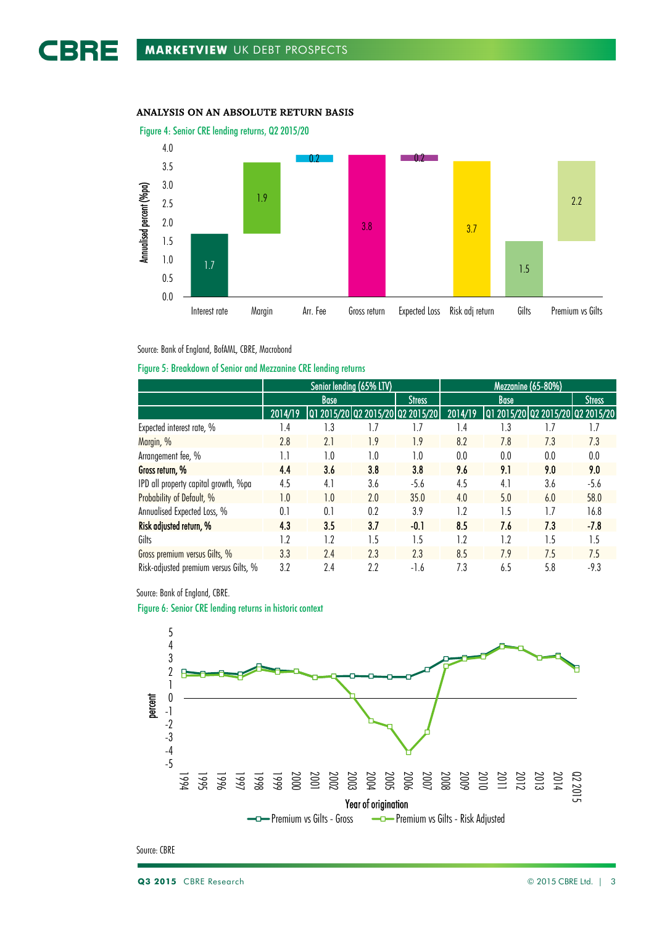# ANALYSIS ON AN ABSOLUTE RETURN BASIS



Source: Bank of England, BofAML, CBRE, Macrobond

# Figure 5: Breakdown of Senior and Mezzanine CRE lending returns

|                                       | Senior lending (65% LTV) |                                  |     |               | Mezzanine (65-80%) |     |                                  |               |
|---------------------------------------|--------------------------|----------------------------------|-----|---------------|--------------------|-----|----------------------------------|---------------|
|                                       | <b>Base</b>              |                                  |     | <b>Stress</b> | <b>Base</b>        |     |                                  | <b>Stress</b> |
|                                       | 2014/19                  | Q1 2015/20 Q2 2015/20 Q2 2015/20 |     |               | 2014/19            |     | 01 2015/20 02 2015/20 02 2015/20 |               |
| Expected interest rate, %             | 1.4                      | 1.3                              | 7.، | 1.7           | 1.4                | 1.3 | 1.7                              | 1.7           |
| Margin, %                             | 2.8                      | 2.1                              | 1.9 | 1.9           | 8.2                | 7.8 | 7.3                              | 7.3           |
| Arrangement fee, %                    |                          | 1.0                              | 1.0 | 1.0           | 0.0                | 0.0 | 0.0                              | 0.0           |
| Gross return, %                       | 4.4                      | 3.6                              | 3.8 | 3.8           | 9.6                | 9.1 | 9.0                              | 9.0           |
| IPD all property capital growth, %pa  | 4.5                      | 4.1                              | 3.6 | $-5.6$        | 4.5                | 4.1 | 3.6                              | $-5.6$        |
| Probability of Default, %             | 1.0                      | 1.0                              | 2.0 | 35.0          | 4.0                | 5.0 | 6.0                              | 58.0          |
| Annualised Expected Loss, %           | 0.1                      | 0.1                              | 0.2 | 3.9           | 1.2                | 1.5 | 1.7                              | 16.8          |
| Risk adjusted return, %               | 4.3                      | 3.5                              | 3.7 | $-0.1$        | 8.5                | 7.6 | 7.3                              | $-7.8$        |
| Gilts                                 | 1.2                      | 1.2                              | 1.5 | 1.5           | 1.2                | 1.2 | 1.5                              | 1.5           |
| Gross premium versus Gilts, %         | 3.3                      | 2.4                              | 2.3 | 2.3           | 8.5                | 7.9 | 7.5                              | 7.5           |
| Risk-adjusted premium versus Gilts, % | 3.2                      | 2.4                              | 2.2 | $-1.6$        | 7.3                | 6.5 | 5.8                              | $-9.3$        |



Figure 6: Senior CRE lending returns in historic context